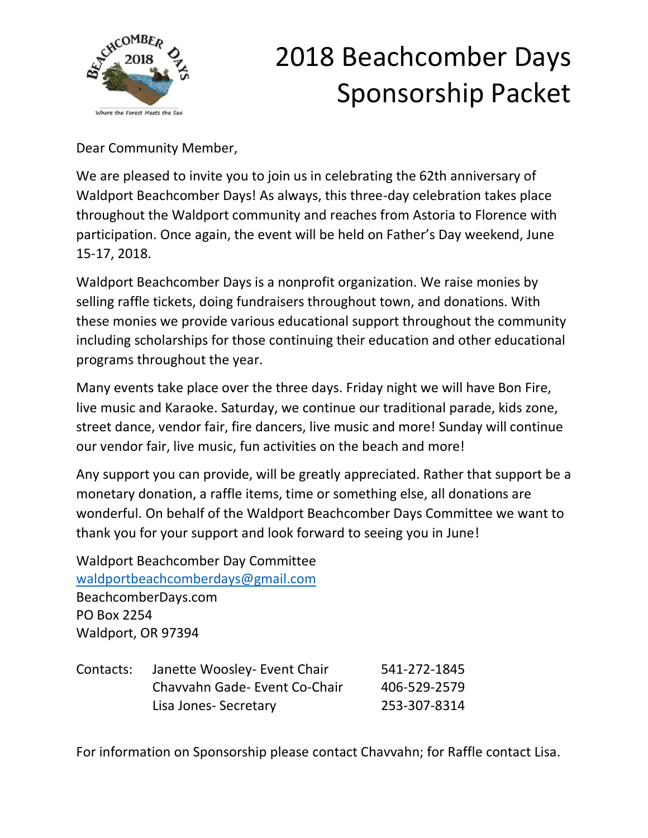

Dear Community Member,

We are pleased to invite you to join us in celebrating the 62th anniversary of Waldport Beachcomber Days! As always, this three-day celebration takes place throughout the Waldport community and reaches from Astoria to Florence with participation. Once again, the event will be held on Father's Day weekend, June 15-17, 2018.

Waldport Beachcomber Days is a nonprofit organization. We raise monies by selling raffle tickets, doing fundraisers throughout town, and donations. With these monies we provide various educational support throughout the community including scholarships for those continuing their education and other educational programs throughout the year.

Many events take place over the three days. Friday night we will have Bon Fire, live music and Karaoke. Saturday, we continue our traditional parade, kids zone, street dance, vendor fair, fire dancers, live music and more! Sunday will continue our vendor fair, live music, fun activities on the beach and more!

Any support you can provide, will be greatly appreciated. Rather that support be a monetary donation, a raffle items, time or something else, all donations are wonderful. On behalf of the Waldport Beachcomber Days Committee we want to thank you for your support and look forward to seeing you in June!

Waldport Beachcomber Day Committee [waldportbeachcomberdays@gmail.com](mailto:waldportbeachcomberdays@gmail.com) BeachcomberDays.com PO Box 2254 Waldport, OR 97394

| Contacts: | Janette Woosley- Event Chair  | 541-272-1845 |
|-----------|-------------------------------|--------------|
|           | Chavyahn Gade- Event Co-Chair | 406-529-2579 |
|           | Lisa Jones-Secretary          | 253-307-8314 |

For information on Sponsorship please contact Chavvahn; for Raffle contact Lisa.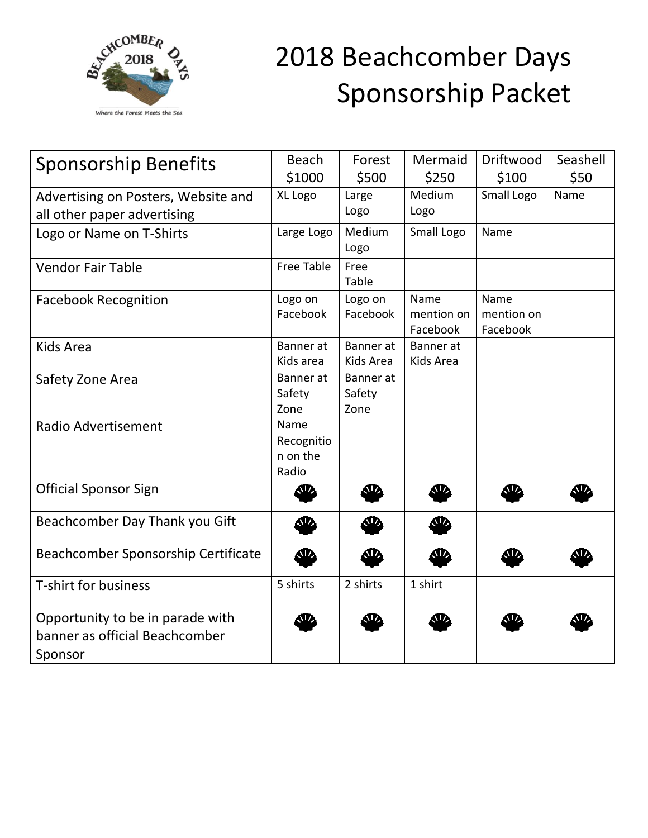

| <b>Sponsorship Benefits</b>                                                   | <b>Beach</b><br>\$1000                  | Forest<br>\$500             | Mermaid<br>\$250               | Driftwood<br>\$100             | Seashell<br>\$50 |
|-------------------------------------------------------------------------------|-----------------------------------------|-----------------------------|--------------------------------|--------------------------------|------------------|
| Advertising on Posters, Website and                                           | XL Logo                                 | Large                       | Medium                         | Small Logo                     | Name             |
| all other paper advertising                                                   |                                         | Logo                        | Logo                           |                                |                  |
| Logo or Name on T-Shirts                                                      | Large Logo                              | Medium<br>Logo              | Small Logo                     | Name                           |                  |
| <b>Vendor Fair Table</b>                                                      | <b>Free Table</b>                       | Free<br>Table               |                                |                                |                  |
| <b>Facebook Recognition</b>                                                   | Logo on<br>Facebook                     | Logo on<br>Facebook         | Name<br>mention on<br>Facebook | Name<br>mention on<br>Facebook |                  |
| <b>Kids Area</b>                                                              | Banner at<br>Kids area                  | Banner at<br>Kids Area      | Banner at<br>Kids Area         |                                |                  |
| Safety Zone Area                                                              | Banner at<br>Safety<br>Zone             | Banner at<br>Safety<br>Zone |                                |                                |                  |
| <b>Radio Advertisement</b>                                                    | Name<br>Recognitio<br>n on the<br>Radio |                             |                                |                                |                  |
| <b>Official Sponsor Sign</b>                                                  | SD.                                     | Æ                           | Æ.                             | NV.                            | ЛU,              |
| Beachcomber Day Thank you Gift                                                | <b>SD</b>                               | <b>SD</b>                   | ЛŊ,                            |                                |                  |
| Beachcomber Sponsorship Certificate                                           | ሙ                                       | æ                           | æ                              | ND,                            | N.               |
| <b>T-shirt for business</b>                                                   | 5 shirts                                | 2 shirts                    | 1 shirt                        |                                |                  |
| Opportunity to be in parade with<br>banner as official Beachcomber<br>Sponsor | 3D                                      | œ                           |                                | W.                             |                  |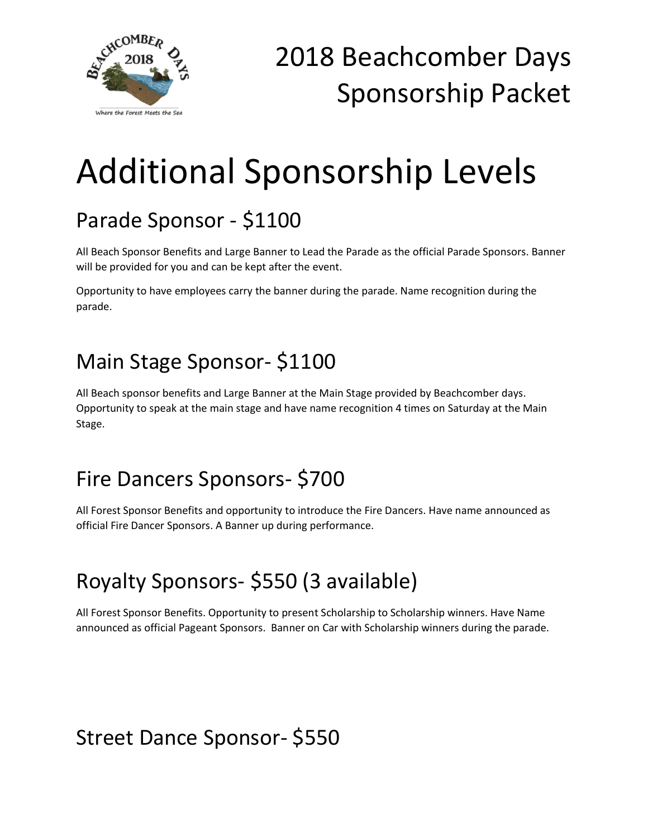

# Additional Sponsorship Levels

## Parade Sponsor - \$1100

All Beach Sponsor Benefits and Large Banner to Lead the Parade as the official Parade Sponsors. Banner will be provided for you and can be kept after the event.

Opportunity to have employees carry the banner during the parade. Name recognition during the parade.

#### Main Stage Sponsor- \$1100

All Beach sponsor benefits and Large Banner at the Main Stage provided by Beachcomber days. Opportunity to speak at the main stage and have name recognition 4 times on Saturday at the Main Stage.

#### Fire Dancers Sponsors- \$700

All Forest Sponsor Benefits and opportunity to introduce the Fire Dancers. Have name announced as official Fire Dancer Sponsors. A Banner up during performance.

## Royalty Sponsors- \$550 (3 available)

All Forest Sponsor Benefits. Opportunity to present Scholarship to Scholarship winners. Have Name announced as official Pageant Sponsors. Banner on Car with Scholarship winners during the parade.

#### Street Dance Sponsor- \$550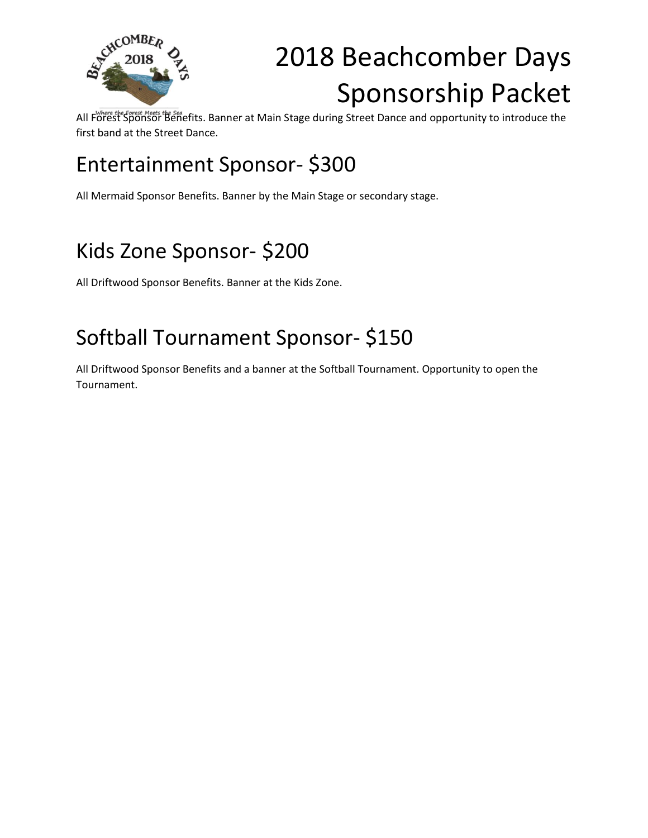

All Forest Sponsor Benefits. Banner at Main Stage during Street Dance and opportunity to introduce the first band at the Street Dance.

## Entertainment Sponsor- \$300

All Mermaid Sponsor Benefits. Banner by the Main Stage or secondary stage.

## Kids Zone Sponsor- \$200

All Driftwood Sponsor Benefits. Banner at the Kids Zone.

#### Softball Tournament Sponsor- \$150

All Driftwood Sponsor Benefits and a banner at the Softball Tournament. Opportunity to open the Tournament.